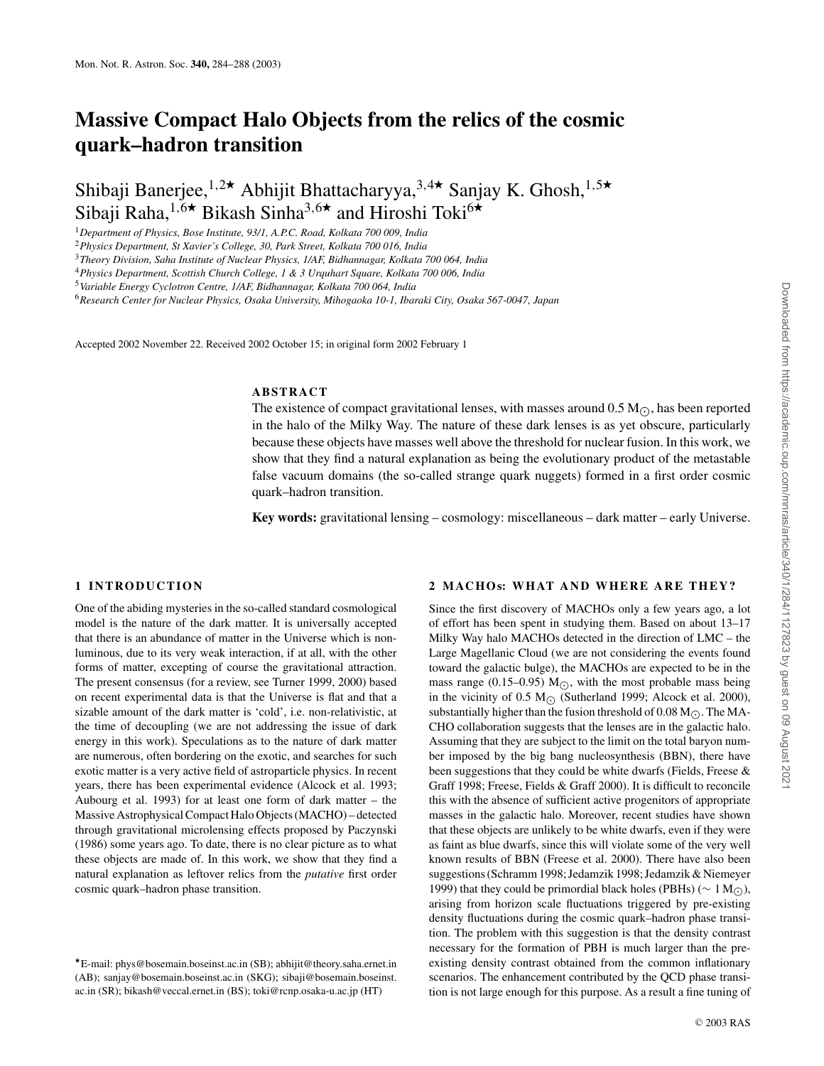# **Massive Compact Halo Objects from the relics of the cosmic quark–hadron transition**

Shibaji Banerjee,<sup>1,2★</sup> Abhijit Bhattacharyya,<sup>3,4★</sup> Sanjay K. Ghosh,<sup>1,5★</sup> Sibaji Raha,<sup>1,6★</sup> Bikash Sinha<sup>3,6★</sup> and Hiroshi Toki<sup>6★</sup>

<sup>1</sup>*Department of Physics, Bose Institute, 93/1, A.P.C. Road, Kolkata 700 009, India*

<sup>2</sup>*Physics Department, St Xavier's College, 30, Park Street, Kolkata 700 016, India*

<sup>3</sup>*Theory Division, Saha Institute of Nuclear Physics, 1/AF, Bidhannagar, Kolkata 700 064, India*

<sup>4</sup>*Physics Department, Scottish Church College, 1 & 3 Urquhart Square, Kolkata 700 006, India*

<sup>5</sup>*Variable Energy Cyclotron Centre, 1/AF, Bidhannagar, Kolkata 700 064, India*

<sup>6</sup>*Research Center for Nuclear Physics, Osaka University, Mihogaoka 10-1, Ibaraki City, Osaka 567-0047, Japan*

Accepted 2002 November 22. Received 2002 October 15; in original form 2002 February 1

## **ABSTRACT**

The existence of compact gravitational lenses, with masses around 0.5  $M_{\odot}$ , has been reported in the halo of the Milky Way. The nature of these dark lenses is as yet obscure, particularly because these objects have masses well above the threshold for nuclear fusion. In this work, we show that they find a natural explanation as being the evolutionary product of the metastable false vacuum domains (the so-called strange quark nuggets) formed in a first order cosmic quark–hadron transition.

**Key words:** gravitational lensing – cosmology: miscellaneous – dark matter – early Universe.

# **1 INTRODUCTION**

One of the abiding mysteries in the so-called standard cosmological model is the nature of the dark matter. It is universally accepted that there is an abundance of matter in the Universe which is nonluminous, due to its very weak interaction, if at all, with the other forms of matter, excepting of course the gravitational attraction. The present consensus (for a review, see Turner 1999, 2000) based on recent experimental data is that the Universe is flat and that a sizable amount of the dark matter is 'cold', i.e. non-relativistic, at the time of decoupling (we are not addressing the issue of dark energy in this work). Speculations as to the nature of dark matter are numerous, often bordering on the exotic, and searches for such exotic matter is a very active field of astroparticle physics. In recent years, there has been experimental evidence (Alcock et al. 1993; Aubourg et al. 1993) for at least one form of dark matter – the Massive Astrophysical Compact Halo Objects (MACHO) – detected through gravitational microlensing effects proposed by Paczynski (1986) some years ago. To date, there is no clear picture as to what these objects are made of. In this work, we show that they find a natural explanation as leftover relics from the *putative* first order cosmic quark–hadron phase transition.

# **2 MACHOS: WHAT AND WHERE ARE THEY?**

Since the first discovery of MACHOs only a few years ago, a lot of effort has been spent in studying them. Based on about 13–17 Milky Way halo MACHOs detected in the direction of LMC – the Large Magellanic Cloud (we are not considering the events found toward the galactic bulge), the MACHOs are expected to be in the mass range (0.15–0.95) M<sub> $\odot$ </sub>, with the most probable mass being in the vicinity of 0.5 M $\odot$  (Sutherland 1999; Alcock et al. 2000), substantially higher than the fusion threshold of 0.08 M $_{\odot}$ . The MA-CHO collaboration suggests that the lenses are in the galactic halo. Assuming that they are subject to the limit on the total baryon number imposed by the big bang nucleosynthesis (BBN), there have been suggestions that they could be white dwarfs (Fields, Freese & Graff 1998; Freese, Fields & Graff 2000). It is difficult to reconcile this with the absence of sufficient active progenitors of appropriate masses in the galactic halo. Moreover, recent studies have shown that these objects are unlikely to be white dwarfs, even if they were as faint as blue dwarfs, since this will violate some of the very well known results of BBN (Freese et al. 2000). There have also been suggestions (Schramm 1998; Jedamzik 1998; Jedamzik & Niemeyer 1999) that they could be primordial black holes (PBHs) (∼ 1 M⊙), arising from horizon scale fluctuations triggered by pre-existing density fluctuations during the cosmic quark–hadron phase transition. The problem with this suggestion is that the density contrast necessary for the formation of PBH is much larger than the preexisting density contrast obtained from the common inflationary scenarios. The enhancement contributed by the QCD phase transition is not large enough for this purpose. As a result a fine tuning of

<sup>⋆</sup>E-mail: phys@bosemain.boseinst.ac.in (SB); abhijit@theory.saha.ernet.in (AB); sanjay@bosemain.boseinst.ac.in (SKG); sibaji@bosemain.boseinst. ac.in (SR); bikash@veccal.ernet.in (BS); toki@rcnp.osaka-u.ac.jp (HT)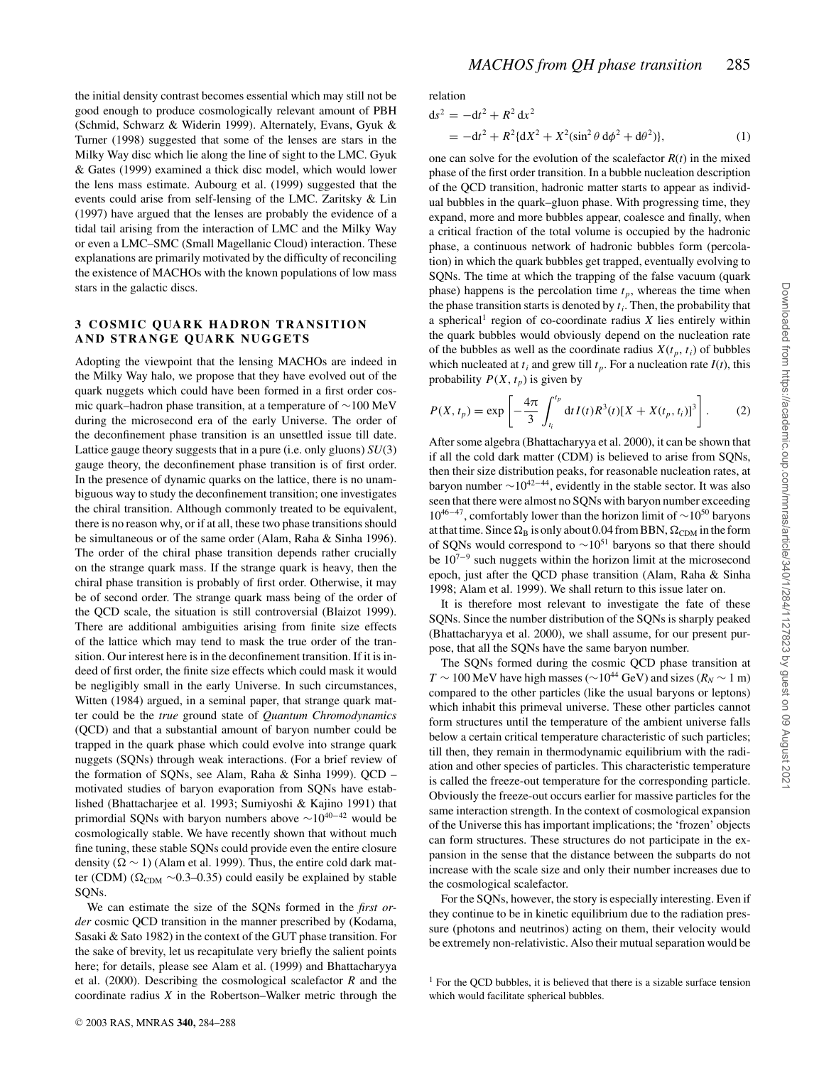the initial density contrast becomes essential which may still not be good enough to produce cosmologically relevant amount of PBH (Schmid, Schwarz & Widerin 1999). Alternately, Evans, Gyuk & Turner (1998) suggested that some of the lenses are stars in the Milky Way disc which lie along the line of sight to the LMC. Gyuk & Gates (1999) examined a thick disc model, which would lower the lens mass estimate. Aubourg et al. (1999) suggested that the events could arise from self-lensing of the LMC. Zaritsky & Lin (1997) have argued that the lenses are probably the evidence of a tidal tail arising from the interaction of LMC and the Milky Way or even a LMC–SMC (Small Magellanic Cloud) interaction. These explanations are primarily motivated by the difficulty of reconciling the existence of MACHOs with the known populations of low mass stars in the galactic discs.

# **3 COSMIC QUARK HADRON TRANSITION AND STRANGE QUARK NUGGETS**

Adopting the viewpoint that the lensing MACHOs are indeed in the Milky Way halo, we propose that they have evolved out of the quark nuggets which could have been formed in a first order cosmic quark–hadron phase transition, at a temperature of ∼100 MeV during the microsecond era of the early Universe. The order of the deconfinement phase transition is an unsettled issue till date. Lattice gauge theory suggests that in a pure (i.e. only gluons) *SU*(3) gauge theory, the deconfinement phase transition is of first order. In the presence of dynamic quarks on the lattice, there is no unambiguous way to study the deconfinement transition; one investigates the chiral transition. Although commonly treated to be equivalent, there is no reason why, or if at all, these two phase transitions should be simultaneous or of the same order (Alam, Raha & Sinha 1996). The order of the chiral phase transition depends rather crucially on the strange quark mass. If the strange quark is heavy, then the chiral phase transition is probably of first order. Otherwise, it may be of second order. The strange quark mass being of the order of the QCD scale, the situation is still controversial (Blaizot 1999). There are additional ambiguities arising from finite size effects of the lattice which may tend to mask the true order of the transition. Our interest here is in the deconfinement transition. If it is indeed of first order, the finite size effects which could mask it would be negligibly small in the early Universe. In such circumstances, Witten (1984) argued, in a seminal paper, that strange quark matter could be the *true* ground state of *Quantum Chromodynamics* (QCD) and that a substantial amount of baryon number could be trapped in the quark phase which could evolve into strange quark nuggets (SQNs) through weak interactions. (For a brief review of the formation of SQNs, see Alam, Raha & Sinha 1999). QCD – motivated studies of baryon evaporation from SQNs have established (Bhattacharjee et al. 1993; Sumiyoshi & Kajino 1991) that primordial SQNs with baryon numbers above ∼10<sup>40</sup>−<sup>42</sup> would be cosmologically stable. We have recently shown that without much fine tuning, these stable SQNs could provide even the entire closure density ( $\Omega \sim 1$ ) (Alam et al. 1999). Thus, the entire cold dark matter (CDM) ( $\Omega_{CDM}$  ~0.3–0.35) could easily be explained by stable SQNs.

We can estimate the size of the SQNs formed in the *first order* cosmic QCD transition in the manner prescribed by (Kodama, Sasaki & Sato 1982) in the context of the GUT phase transition. For the sake of brevity, let us recapitulate very briefly the salient points here; for details, please see Alam et al. (1999) and Bhattacharyya et al. (2000). Describing the cosmological scalefactor *R* and the coordinate radius *X* in the Robertson–Walker metric through the

relation

$$
ds^{2} = -dt^{2} + R^{2} dx^{2}
$$
  
= -dt<sup>2</sup> + R<sup>2</sup>(dX<sup>2</sup> + X<sup>2</sup>(sin<sup>2</sup> θ dφ<sup>2</sup> + dθ<sup>2</sup>)), (1)

one can solve for the evolution of the scalefactor  $R(t)$  in the mixed phase of the first order transition. In a bubble nucleation description of the QCD transition, hadronic matter starts to appear as individual bubbles in the quark–gluon phase. With progressing time, they expand, more and more bubbles appear, coalesce and finally, when a critical fraction of the total volume is occupied by the hadronic phase, a continuous network of hadronic bubbles form (percolation) in which the quark bubbles get trapped, eventually evolving to SQNs. The time at which the trapping of the false vacuum (quark phase) happens is the percolation time  $t_p$ , whereas the time when the phase transition starts is denoted by  $t_i$ . Then, the probability that a spherical<sup>1</sup> region of co-coordinate radius  $X$  lies entirely within the quark bubbles would obviously depend on the nucleation rate of the bubbles as well as the coordinate radius  $X(t_p, t_i)$  of bubbles which nucleated at  $t_i$  and grew till  $t_p$ . For a nucleation rate  $I(t)$ , this probability  $P(X, t_p)$  is given by

$$
P(X, t_p) = \exp\left[-\frac{4\pi}{3} \int_{t_i}^{t_p} dt I(t) R^3(t) [X + X(t_p, t_i)]^3\right].
$$
 (2)

After some algebra (Bhattacharyya et al. 2000), it can be shown that if all the cold dark matter (CDM) is believed to arise from SQNs, then their size distribution peaks, for reasonable nucleation rates, at baryon number  $\sim 10^{42-44}$ , evidently in the stable sector. It was also seen that there were almost no SQNs with baryon number exceeding  $10^{46-47}$ , comfortably lower than the horizon limit of ∼10<sup>50</sup> baryons at that time. Since  $\Omega_B$  is only about 0.04 from BBN,  $\Omega_{CDM}$  in the form of SQNs would correspond to  $\sim$ 10<sup>51</sup> baryons so that there should be 10<sup>7</sup>−<sup>9</sup> such nuggets within the horizon limit at the microsecond epoch, just after the QCD phase transition (Alam, Raha & Sinha 1998; Alam et al. 1999). We shall return to this issue later on.

It is therefore most relevant to investigate the fate of these SQNs. Since the number distribution of the SQNs is sharply peaked (Bhattacharyya et al. 2000), we shall assume, for our present purpose, that all the SQNs have the same baryon number.

The SQNs formed during the cosmic QCD phase transition at  $T \sim 100$  MeV have high masses ( $\sim 10^{44}$  GeV) and sizes ( $R_N \sim 1$  m) compared to the other particles (like the usual baryons or leptons) which inhabit this primeval universe. These other particles cannot form structures until the temperature of the ambient universe falls below a certain critical temperature characteristic of such particles; till then, they remain in thermodynamic equilibrium with the radiation and other species of particles. This characteristic temperature is called the freeze-out temperature for the corresponding particle. Obviously the freeze-out occurs earlier for massive particles for the same interaction strength. In the context of cosmological expansion of the Universe this has important implications; the 'frozen' objects can form structures. These structures do not participate in the expansion in the sense that the distance between the subparts do not increase with the scale size and only their number increases due to the cosmological scalefactor.

For the SQNs, however, the story is especially interesting. Even if they continue to be in kinetic equilibrium due to the radiation pressure (photons and neutrinos) acting on them, their velocity would be extremely non-relativistic. Also their mutual separation would be

 $<sup>1</sup>$  For the OCD bubbles, it is believed that there is a sizable surface tension</sup> which would facilitate spherical bubbles.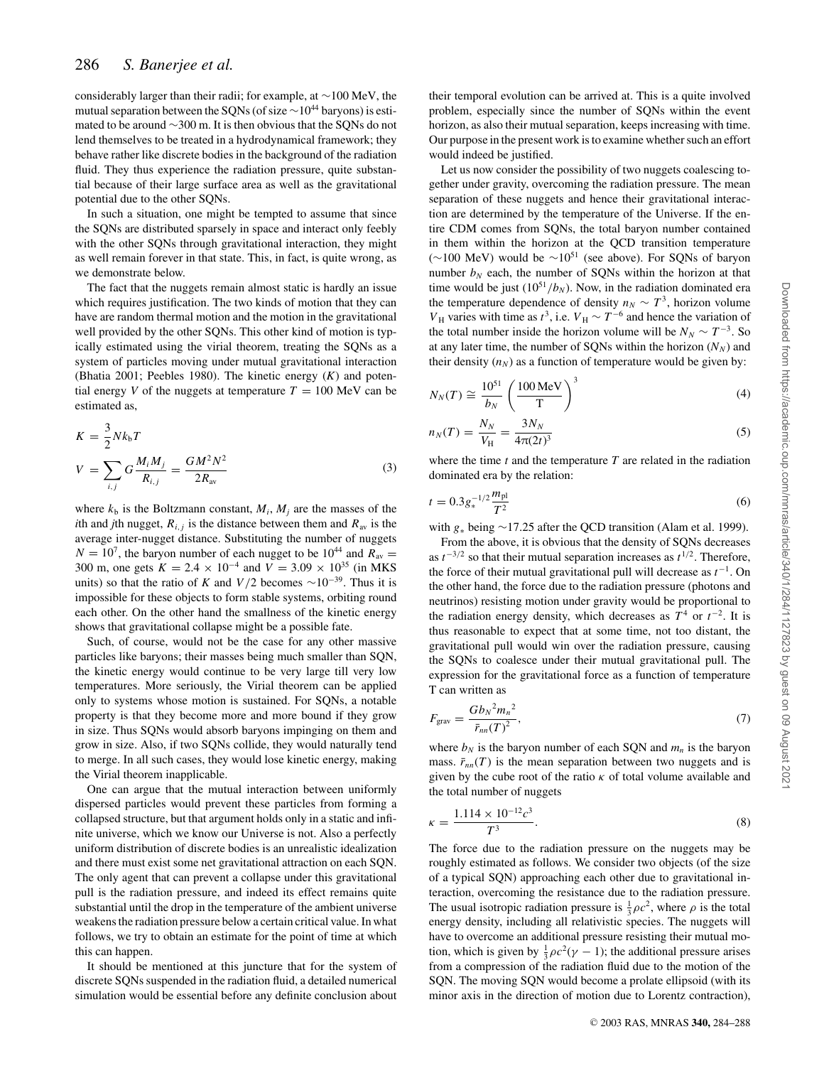considerably larger than their radii; for example, at ∼100 MeV, the mutual separation between the SQNs (of size  $\sim$ 10<sup>44</sup> baryons) is estimated to be around ∼300 m. It is then obvious that the SQNs do not lend themselves to be treated in a hydrodynamical framework; they behave rather like discrete bodies in the background of the radiation fluid. They thus experience the radiation pressure, quite substantial because of their large surface area as well as the gravitational potential due to the other SQNs.

In such a situation, one might be tempted to assume that since the SQNs are distributed sparsely in space and interact only feebly with the other SQNs through gravitational interaction, they might as well remain forever in that state. This, in fact, is quite wrong, as we demonstrate below.

The fact that the nuggets remain almost static is hardly an issue which requires justification. The two kinds of motion that they can have are random thermal motion and the motion in the gravitational well provided by the other SQNs. This other kind of motion is typically estimated using the virial theorem, treating the SQNs as a system of particles moving under mutual gravitational interaction (Bhatia 2001; Peebles 1980). The kinetic energy (*K*) and potential energy *V* of the nuggets at temperature  $T = 100$  MeV can be estimated as,

$$
K = \frac{3}{2} N k_{\rm b} T
$$
  
\n
$$
V = \sum_{i,j} G \frac{M_i M_j}{R_{i,j}} = \frac{GM^2 N^2}{2R_{\rm av}}
$$
 (3)

where  $k_b$  is the Boltzmann constant,  $M_i$ ,  $M_j$  are the masses of the *i*th and *j*th nugget,  $R_{i,j}$  is the distance between them and  $R_{av}$  is the average inter-nugget distance. Substituting the number of nuggets  $N = 10<sup>7</sup>$ , the baryon number of each nugget to be  $10<sup>44</sup>$  and  $R_{av} =$ 300 m, one gets  $K = 2.4 \times 10^{-4}$  and  $V = 3.09 \times 10^{35}$  (in MKS units) so that the ratio of *K* and *V*/2 becomes  $\sim$ 10<sup>-39</sup>. Thus it is impossible for these objects to form stable systems, orbiting round each other. On the other hand the smallness of the kinetic energy shows that gravitational collapse might be a possible fate.

Such, of course, would not be the case for any other massive particles like baryons; their masses being much smaller than SQN, the kinetic energy would continue to be very large till very low temperatures. More seriously, the Virial theorem can be applied only to systems whose motion is sustained. For SQNs, a notable property is that they become more and more bound if they grow in size. Thus SQNs would absorb baryons impinging on them and grow in size. Also, if two SQNs collide, they would naturally tend to merge. In all such cases, they would lose kinetic energy, making the Virial theorem inapplicable.

One can argue that the mutual interaction between uniformly dispersed particles would prevent these particles from forming a collapsed structure, but that argument holds only in a static and infinite universe, which we know our Universe is not. Also a perfectly uniform distribution of discrete bodies is an unrealistic idealization and there must exist some net gravitational attraction on each SQN. The only agent that can prevent a collapse under this gravitational pull is the radiation pressure, and indeed its effect remains quite substantial until the drop in the temperature of the ambient universe weakens the radiation pressure below a certain critical value. In what follows, we try to obtain an estimate for the point of time at which this can happen.

It should be mentioned at this juncture that for the system of discrete SQNs suspended in the radiation fluid, a detailed numerical simulation would be essential before any definite conclusion about their temporal evolution can be arrived at. This is a quite involved problem, especially since the number of SQNs within the event horizon, as also their mutual separation, keeps increasing with time. Our purpose in the present work is to examine whether such an effort would indeed be justified.

Let us now consider the possibility of two nuggets coalescing together under gravity, overcoming the radiation pressure. The mean separation of these nuggets and hence their gravitational interaction are determined by the temperature of the Universe. If the entire CDM comes from SQNs, the total baryon number contained in them within the horizon at the QCD transition temperature (∼100 MeV) would be  $\sim 10^{51}$  (see above). For SQNs of baryon number  $b_N$  each, the number of SQNs within the horizon at that time would be just  $(10^{51}/b_N)$ . Now, in the radiation dominated era the temperature dependence of density  $n_N \sim T^3$ , horizon volume *V*<sub>H</sub> varies with time as  $t^3$ , i.e. *V*<sub>H</sub> ∼  $T^{-6}$  and hence the variation of the total number inside the horizon volume will be  $N_N \sim T^{-3}$ . So at any later time, the number of SQNs within the horizon  $(N_N)$  and their density  $(n_N)$  as a function of temperature would be given by:

$$
N_N(T) \cong \frac{10^{51}}{b_N} \left(\frac{100 \,\text{MeV}}{\text{T}}\right)^3 \tag{4}
$$

$$
n_N(T) = \frac{N_N}{V_H} = \frac{3N_N}{4\pi(2t)^3}
$$
\n(5)

where the time *t* and the temperature *T* are related in the radiation dominated era by the relation:

$$
t = 0.3g_*^{-1/2}\frac{m_{\rm pl}}{T^2}
$$
 (6)

with *g*<sup>∗</sup> being ∼17.25 after the QCD transition (Alam et al. 1999).

From the above, it is obvious that the density of SQNs decreases as  $t^{-3/2}$  so that their mutual separation increases as  $t^{1/2}$ . Therefore, the force of their mutual gravitational pull will decrease as  $t^{-1}$ . On the other hand, the force due to the radiation pressure (photons and neutrinos) resisting motion under gravity would be proportional to the radiation energy density, which decreases as  $T^4$  or  $t^{-2}$ . It is thus reasonable to expect that at some time, not too distant, the gravitational pull would win over the radiation pressure, causing the SQNs to coalesce under their mutual gravitational pull. The expression for the gravitational force as a function of temperature T can written as

$$
F_{\rm grav} = \frac{Gb_N^2 m_n^2}{\bar{r}_{nn}(T)^2},\tag{7}
$$

where  $b_N$  is the baryon number of each SQN and  $m_n$  is the baryon mass.  $\bar{r}_{nn}(T)$  is the mean separation between two nuggets and is given by the cube root of the ratio  $\kappa$  of total volume available and the total number of nuggets

$$
\kappa = \frac{1.114 \times 10^{-12} c^3}{T^3}.
$$
\n(8)

The force due to the radiation pressure on the nuggets may be roughly estimated as follows. We consider two objects (of the size of a typical SQN) approaching each other due to gravitational interaction, overcoming the resistance due to the radiation pressure. The usual isotropic radiation pressure is  $\frac{1}{3}\rho c^2$ , where  $\rho$  is the total energy density, including all relativistic species. The nuggets will have to overcome an additional pressure resisting their mutual motion, which is given by  $\frac{1}{3}\rho c^2(\gamma - 1)$ ; the additional pressure arises from a compression of the radiation fluid due to the motion of the SQN. The moving SQN would become a prolate ellipsoid (with its minor axis in the direction of motion due to Lorentz contraction),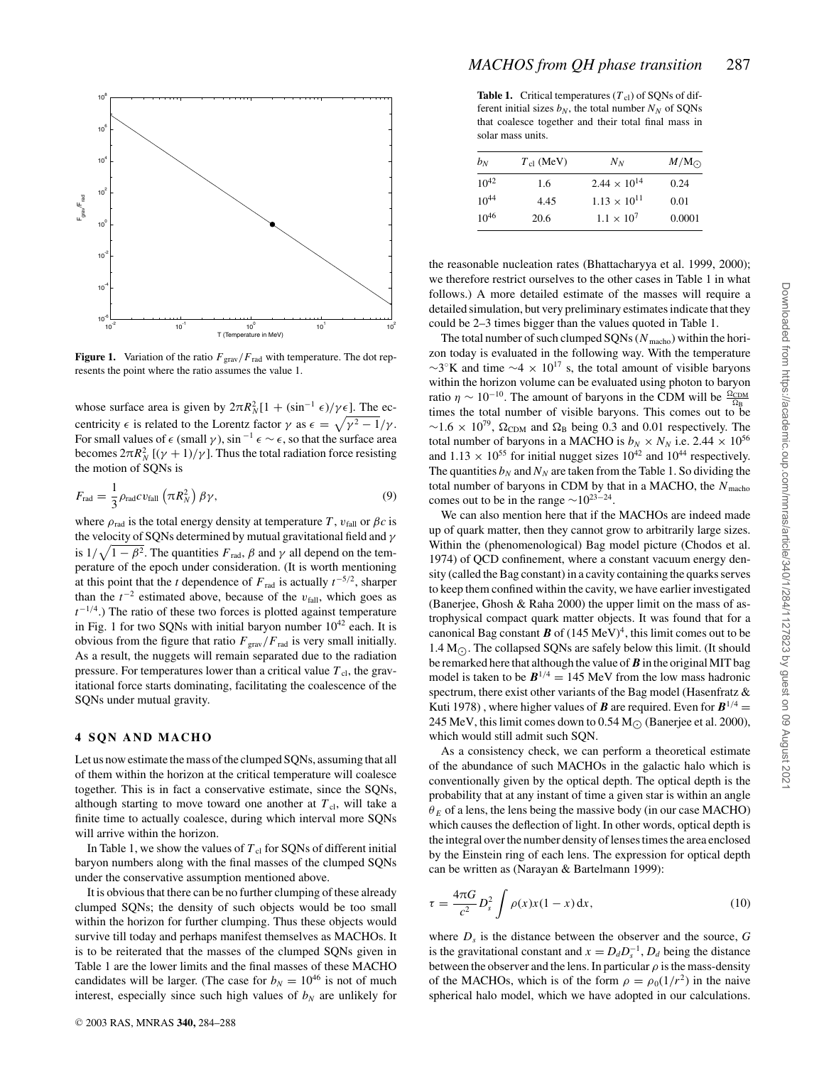

**Figure 1.** Variation of the ratio  $F_{\text{grav}}/F_{\text{rad}}$  with temperature. The dot represents the point where the ratio assumes the value 1.

whose surface area is given by  $2\pi R_N^2[1 + (\sin^{-1} \epsilon)/\gamma \epsilon]$ . The eccentricity  $\epsilon$  is related to the Lorentz factor  $\gamma$  as  $\epsilon = \sqrt{\gamma^2 - 1/\gamma}$ . For small values of  $\epsilon$  (small  $\gamma$ ), sin<sup>-1</sup>  $\epsilon \sim \epsilon$ , so that the surface area becomes  $2\pi R_N^2$  [( $\gamma + 1$ )/ $\gamma$ ]. Thus the total radiation force resisting the motion of SQNs is

$$
F_{\rm rad} = \frac{1}{3} \rho_{\rm rad} c v_{\rm fall} \left( \pi R_N^2 \right) \beta \gamma, \tag{9}
$$

where  $\rho_{rad}$  is the total energy density at temperature *T*,  $v_{fall}$  or  $\beta c$  is the velocity of SQNs determined by mutual gravitational field and  $\gamma$ is  $1/\sqrt{1-\beta^2}$ . The quantities  $F_{rad}$ ,  $\beta$  and  $\gamma$  all depend on the temperature of the epoch under consideration. (It is worth mentioning at this point that the *t* dependence of  $F_{rad}$  is actually  $t^{-5/2}$ , sharper than the  $t^{-2}$  estimated above, because of the  $v_{\text{fall}}$ , which goes as  $t^{-1/4}$ .) The ratio of these two forces is plotted against temperature in Fig. 1 for two SQNs with initial baryon number  $10^{42}$  each. It is obvious from the figure that ratio  $F_{grav}/F_{rad}$  is very small initially. As a result, the nuggets will remain separated due to the radiation pressure. For temperatures lower than a critical value  $T_{\text{cl}}$ , the gravitational force starts dominating, facilitating the coalescence of the SQNs under mutual gravity.

#### **4 SQN AND MACHO**

Let us now estimate the mass of the clumped SQNs, assuming that all of them within the horizon at the critical temperature will coalesce together. This is in fact a conservative estimate, since the SQNs, although starting to move toward one another at  $T_{\rm cl}$ , will take a finite time to actually coalesce, during which interval more SQNs will arrive within the horizon.

In Table 1, we show the values of  $T_{\rm cl}$  for SQNs of different initial baryon numbers along with the final masses of the clumped SQNs under the conservative assumption mentioned above.

It is obvious that there can be no further clumping of these already clumped SQNs; the density of such objects would be too small within the horizon for further clumping. Thus these objects would survive till today and perhaps manifest themselves as MACHOs. It is to be reiterated that the masses of the clumped SQNs given in Table 1 are the lower limits and the final masses of these MACHO candidates will be larger. (The case for  $b_N = 10^{46}$  is not of much interest, especially since such high values of  $b<sub>N</sub>$  are unlikely for

**Table 1.** Critical temperatures  $(T<sub>cl</sub>)$  of SQNs of different initial sizes  $b_N$ , the total number  $N_N$  of SONs that coalesce together and their total final mass in solar mass units.

| $b_N$     | $T_{\text{cl}}$ (MeV) | $N_N$                 | $M/M_{\odot}$ |
|-----------|-----------------------|-----------------------|---------------|
| $10^{42}$ | 1.6                   | $2.44 \times 10^{14}$ | 0.24          |
| $10^{44}$ | 4.45                  | $1.13 \times 10^{11}$ | 0.01          |
| $10^{46}$ | 20.6                  | $1.1 \times 10^{7}$   | 0.0001        |

the reasonable nucleation rates (Bhattacharyya et al. 1999, 2000); we therefore restrict ourselves to the other cases in Table 1 in what follows.) A more detailed estimate of the masses will require a detailed simulation, but very preliminary estimates indicate that they could be 2–3 times bigger than the values quoted in Table 1.

The total number of such clumped  $SQNs$  ( $N<sub>macho</sub>$ ) within the horizon today is evaluated in the following way. With the temperature  $\sim$ 3°K and time  $\sim$ 4 × 10<sup>17</sup> s, the total amount of visible baryons within the horizon volume can be evaluated using photon to baryon ratio  $\eta \sim 10^{-10}$ . The amount of baryons in the CDM will be  $\frac{\Omega_{CDM}}{\Omega_{D}}$ times the total number of visible baryons. This comes out to be  $\sim$ 1.6 × 10<sup>79</sup>,  $\Omega_{CDM}$  and  $\Omega_B$  being 0.3 and 0.01 respectively. The total number of baryons in a MACHO is  $b_N \times N_N$  i.e. 2.44  $\times 10^{56}$ and  $1.13 \times 10^{55}$  for initial nugget sizes  $10^{42}$  and  $10^{44}$  respectively. The quantities  $b_N$  and  $N_N$  are taken from the Table 1. So dividing the total number of baryons in CDM by that in a MACHO, the *N* macho comes out to be in the range  $\sim 10^{23-24}$ .

We can also mention here that if the MACHOs are indeed made up of quark matter, then they cannot grow to arbitrarily large sizes. Within the (phenomenological) Bag model picture (Chodos et al. 1974) of QCD confinement, where a constant vacuum energy density (called the Bag constant) in a cavity containing the quarks serves to keep them confined within the cavity, we have earlier investigated (Banerjee, Ghosh & Raha 2000) the upper limit on the mass of astrophysical compact quark matter objects. It was found that for a canonical Bag constant  $\mathbf{B}$  of  $(145 \text{ MeV})^4$ , this limit comes out to be 1.4  $M_{\odot}$ . The collapsed SQNs are safely below this limit. (It should be remarked here that although the value of  $\vec{B}$  in the original MIT bag model is taken to be  $B^{1/4} = 145$  MeV from the low mass hadronic spectrum, there exist other variants of the Bag model (Hasenfratz & Kuti 1978), where higher values of *B* are required. Even for  $B^{1/4}$  = 245 MeV, this limit comes down to 0.54 M<sub> $\odot$ </sub> (Banerjee et al. 2000), which would still admit such SQN.

As a consistency check, we can perform a theoretical estimate of the abundance of such MACHOs in the galactic halo which is conventionally given by the optical depth. The optical depth is the probability that at any instant of time a given star is within an angle  $\theta_E$  of a lens, the lens being the massive body (in our case MACHO) which causes the deflection of light. In other words, optical depth is the integral over the number density of lenses times the area enclosed by the Einstein ring of each lens. The expression for optical depth can be written as (Narayan & Bartelmann 1999):

$$
\tau = \frac{4\pi G}{c^2} D_s^2 \int \rho(x) x (1 - x) \, \mathrm{d}x,\tag{10}
$$

where  $D_s$  is the distance between the observer and the source,  $G$ is the gravitational constant and  $x = D_d D_s^{-1}$ ,  $D_d$  being the distance between the observer and the lens. In particular  $\rho$  is the mass-density of the MACHOs, which is of the form  $\rho = \rho_0(1/r^2)$  in the naive spherical halo model, which we have adopted in our calculations.